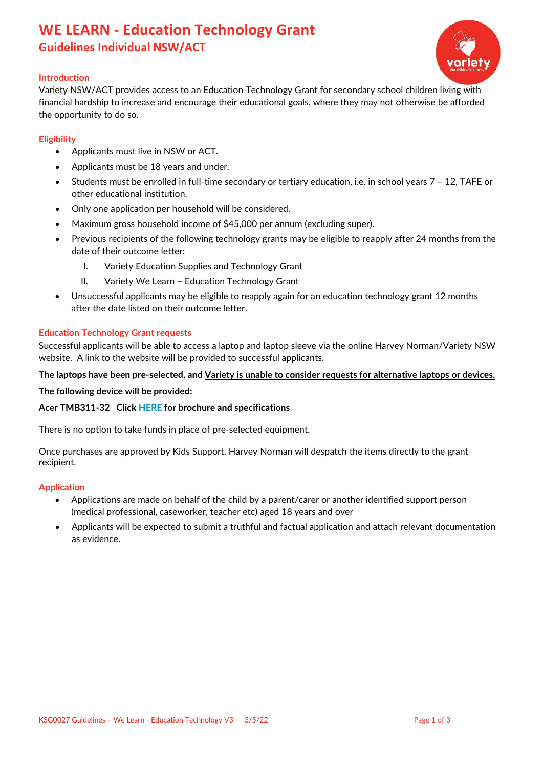## **WE LEARN - Education Technology Grant Guidelines Individual NSW/ACT**



## **Introduction**

Variety NSW/ACT provides access to an Education Technology Grant for secondary school children living with financial hardship to increase and encourage their educational goals, where they may not otherwise be afforded the opportunity to do so.

## **Eligibility**

- Applicants must live in NSW or ACT.
- Applicants must be 18 years and under.
- Students must be enrolled in full-time secondary or tertiary education, i.e. in school years 7 12, TAFE or other educational institution.
- Only one application per household will be considered.
- Maximum gross household income of \$45,000 per annum (excluding super).
- Previous recipients of the following technology grants may be eligible to reapply after 24 months from the date of their outcome letter:
	- I. Variety Education Supplies and Technology Grant
	- II. Variety We Learn Education Technology Grant
- Unsuccessful applicants may be eligible to reapply again for an education technology grant 12 months after the date listed on their outcome letter.

#### **Education Technology Grant requests**

Successful applicants will be able to access a laptop and laptop sleeve via the online Harvey Norman/Variety NSW website. A link to the website will be provided to successful applicants.

## **The laptops have been pre-selected, and Variety is unable to consider requests for alternative laptops or devices.**

**The following device will be provided:**

#### **Acer TMB311-32 Click [HERE](https://www.variety.org.au/nsw/wp-content/uploads/2022/05/TravelMate-B3-Series.pdf) for brochure and specifications**

There is no option to take funds in place of pre-selected equipment.

Once purchases are approved by Kids Support, Harvey Norman will despatch the items directly to the grant recipient.

#### **Application**

- Applications are made on behalf of the child by a parent/carer or another identified support person (medical professional, caseworker, teacher etc) aged 18 years and over
- Applicants will be expected to submit a truthful and factual application and attach relevant documentation as evidence.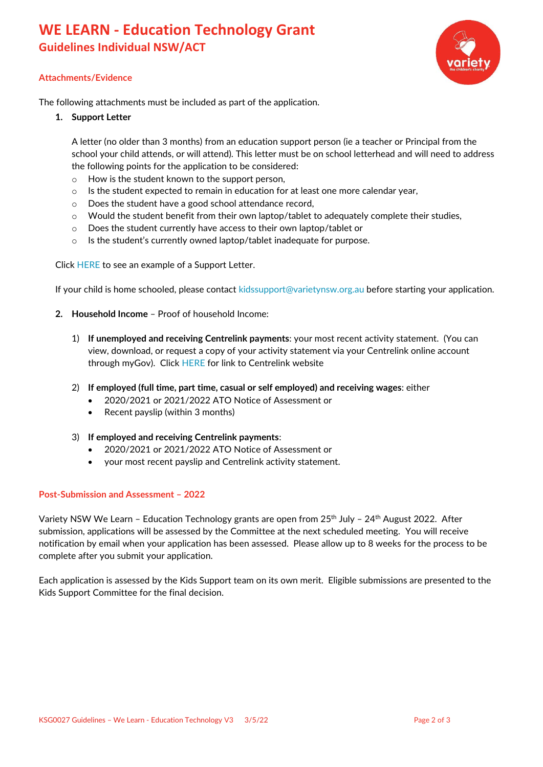# **WE LEARN - Education Technology Grant Guidelines Individual NSW/ACT**



## **Attachments/Evidence**

The following attachments must be included as part of the application.

**1. Support Letter**

A letter (no older than 3 months) from an education support person (ie a teacher or Principal from the school your child attends, or will attend). This letter must be on school letterhead and will need to address the following points for the application to be considered:

- o How is the student known to the support person,
- $\circ$  Is the student expected to remain in education for at least one more calendar year,
- o Does the student have a good school attendance record,
- $\circ$  Would the student benefit from their own laptop/tablet to adequately complete their studies,
- o Does the student currently have access to their own laptop/tablet or
- o Is the student's currently owned laptop/tablet inadequate for purpose.

Click [HERE](https://www.variety.org.au/nsw/wp-content/uploads/2022/05/Support-letter-We-Learn.pdf) to see an example of a Support Letter.

If your child is home schooled, please contact [kidssupport@varietynsw.org.au](mailto:kidssupport@varietynsw.org.au) before starting your application.

- **2. Household Income** Proof of household Income:
	- 1) **If unemployed and receiving Centrelink payments**: your most recent activity statement. (You can view, download, or request a copy of your activity statement via your Centrelink online account through myGov). Click [HERE](https://www.servicesaustralia.gov.au/centrelink-online-account-help-request-document) for link to Centrelink website
	- 2) **If employed (full time, part time, casual or self employed) and receiving wages**: either
		- 2020/2021 or 2021/2022 ATO Notice of Assessment or
		- Recent payslip (within 3 months)
	- 3) **If employed and receiving Centrelink payments**:
		- 2020/2021 or 2021/2022 ATO Notice of Assessment or
		- your most recent payslip and Centrelink activity statement.

#### **Post-Submission and Assessment – 2022**

Variety NSW We Learn - Education Technology grants are open from 25<sup>th</sup> July - 24<sup>th</sup> August 2022. After submission, applications will be assessed by the Committee at the next scheduled meeting. You will receive notification by email when your application has been assessed. Please allow up to 8 weeks for the process to be complete after you submit your application.

Each application is assessed by the Kids Support team on its own merit. Eligible submissions are presented to the Kids Support Committee for the final decision.